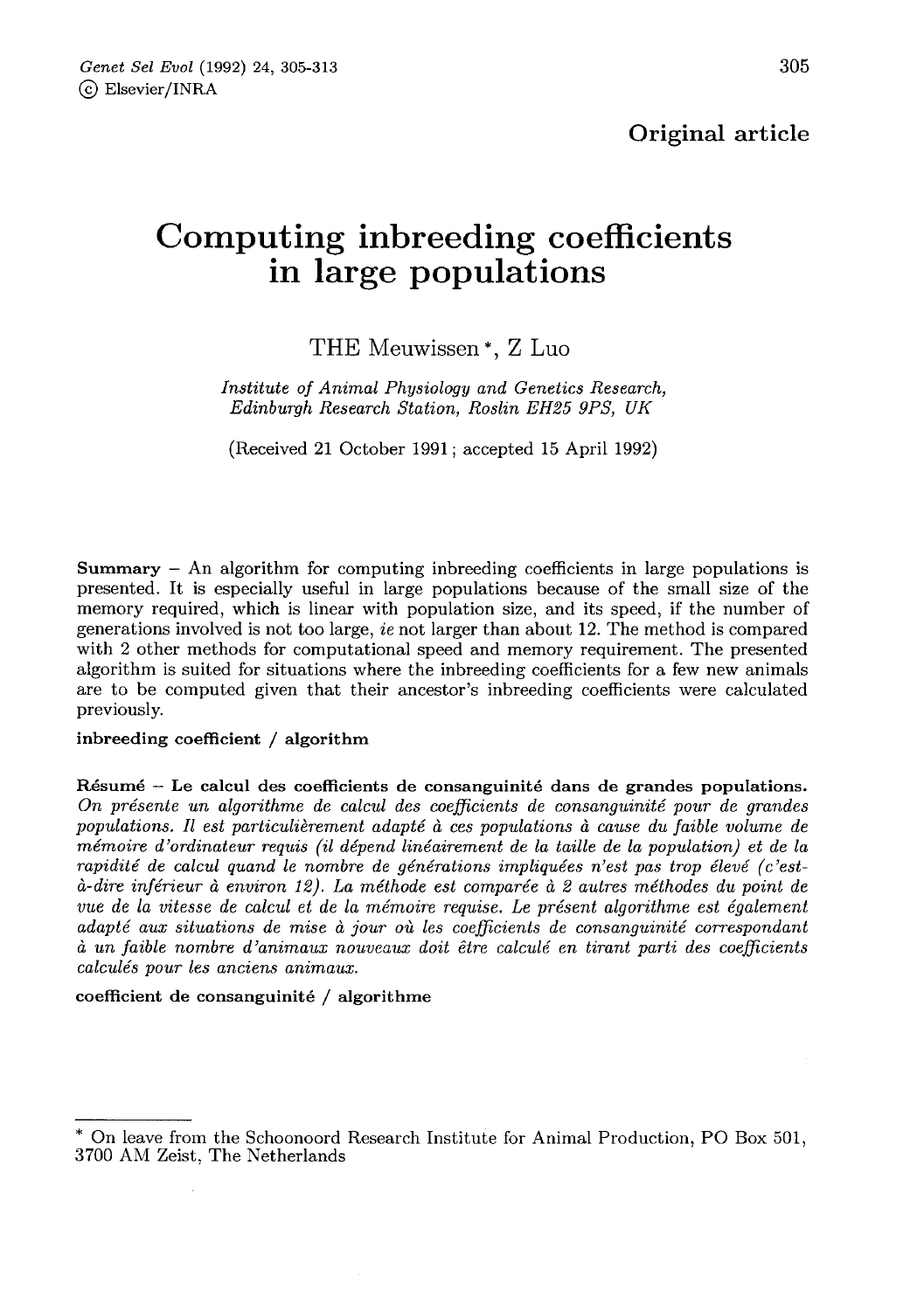Original article

# Computing inbreeding coefficients in large populations

## THE Meuwissen \*, Z Luo

Institute of Animal Physiology and Genetics Research, Edinburgh Research Station, Roslin EH25 9PS, UK

(Received 21 October 1991; accepted 15 April 1992)

**Summary**  $-$  An algorithm for computing indiceding coefficients in large populations is presented. It is especially useful in large populations because of the small size of the memory required, which is linear with population size, and its speed, if the number of generations involved is not too large, ie not larger than about 12. The method is compared with 2 other methods for computational speed and memory requirement. The presented algorithm is suited for situations where the inbreeding coefficients for a few new animals are to be computed given that their ancestor's inbreeding coefficients were calculated previously.

#### inbreeding coefficient / algorithm

Résumé - Le calcul des coefficients de consanguinité dans de grandes populations. On présente un algorithme de calcul des coefficients de consanguinité pour de grandes populations. Il est particulièrement adapté à ces populations à cause du faible volume de mémoire d'ordinateur requis (il dépend linéairement de la taille de la population) et de la rapidité de calcul quand le nombre de générations impliquées n'est pas trop élevé (c'està-dire inférieur à environ 12). La méthode est comparée à 2 autres méthodes du point de vue de la vitesse de calcul et de la mémoire requise. Le présent algorithme est également adapté aux situations de mise à jour où les coefficients de consanguinité correspondant à un faible nombre d'animaux nouveaux doit être calculé en tirant parti des coefficients calculés pour les anciens animaux.

#### coefficient de consanguinité / algorithme

<sup>\*</sup> On leave from the Schoonoord Research Institute for Animal Production, PO Box 501, 3700 AM Zeist, The Netherlands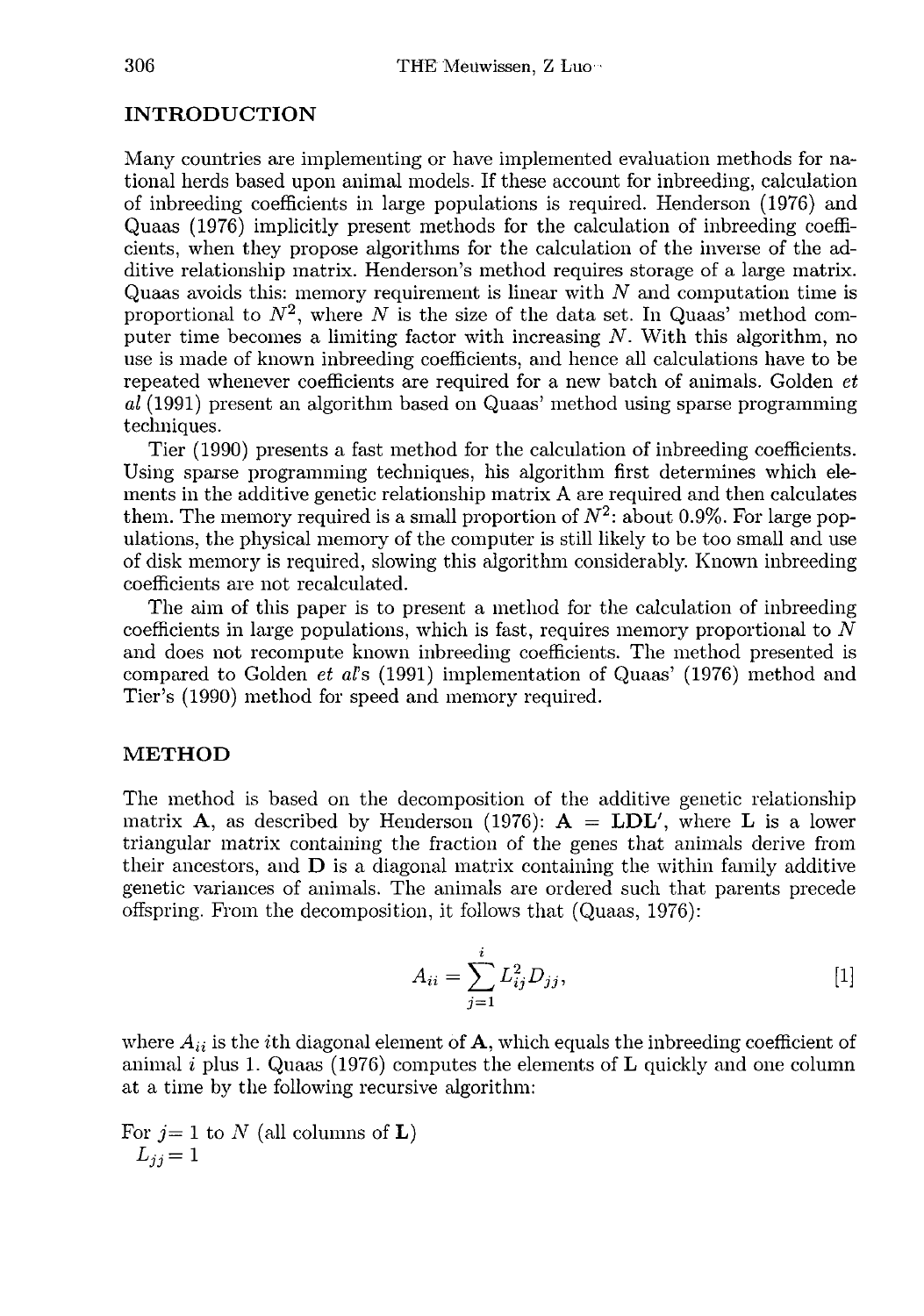#### INTRODUCTION

Many countries are implementing or have implemented evaluation methods for national herds based upon animal models. If these account for inbreeding, calculation of inbreeding coefficients in large populations is required. Henderson (1976) and Quaas (1976) implicitly present methods for the calculation of inbreeding coefficients, when they propose algorithms for the calculation of the inverse of the additive relationship matrix. Henderson's method requires storage of a large matrix. Quaas avoids this: memory requirement is linear with N and computation time is proportional to  $N^2$ , where N is the size of the data set. In Quaas' method computer time becomes a limiting factor with increasing  $N$ . With this algorithm, no use is made of known inbreeding coefficients, and hence all calculations have to be repeated whenever coefficients are required for a new batch of animals. Golden et al (1991) present an algorithm based on Quaas' method using sparse programming techniques.

Tier (1990) presents a fast method for the calculation of inbreeding coefficients. Using sparse programming techniques, his algorithm first determines which elements in the additive genetic relationship matrix A are required and then calculates them. The memory required is a small proportion of  $N^2$ : about 0.9%. For large populations, the physical memory of the computer is still likely to be too small and use of disk memory is required, slowing this algorithm considerably. Known inbreeding coefficients are not recalculated.

The aim of this paper is to present a method for the calculation of inbreeding coefficients in large populations, which is fast, requires memory proportional to  $N$ and does not recompute known inbreeding coefficients. The method presented is compared to Golden et al's (1991) implementation of Quaas' (1976) method and Tier's (1990) method for speed and memory required.

### METHOD

The method is based on the decomposition of the additive genetic relationship matrix **A**, as described by Henderson (1976):  $A = LDL'$ , where L is a lower triangular matrix containing the fraction of the genes that animals derive from their ancestors, and  $\bf{D}$  is a diagonal matrix containing the within family additive genetic variances of animals. The animals are ordered such that parents precede offspring. From the decomposition, it follows that (Quaas, 197G):

$$
A_{ii} = \sum_{j=1}^{i} L_{ij}^2 D_{jj},
$$
 [1]

where  $A_{ii}$  is the *i*th diagonal element of **A**, which equals the inbreeding coefficient of animal i plus 1. Quaas (1976) computes the elements of  **quickly and one column** at a time by the following recursive algorithm:

For  $j=1$  to  $N$  (all columns of  $\mathbf{L}$ ) or  $j = 1$ <br> $L_{jj} = 1$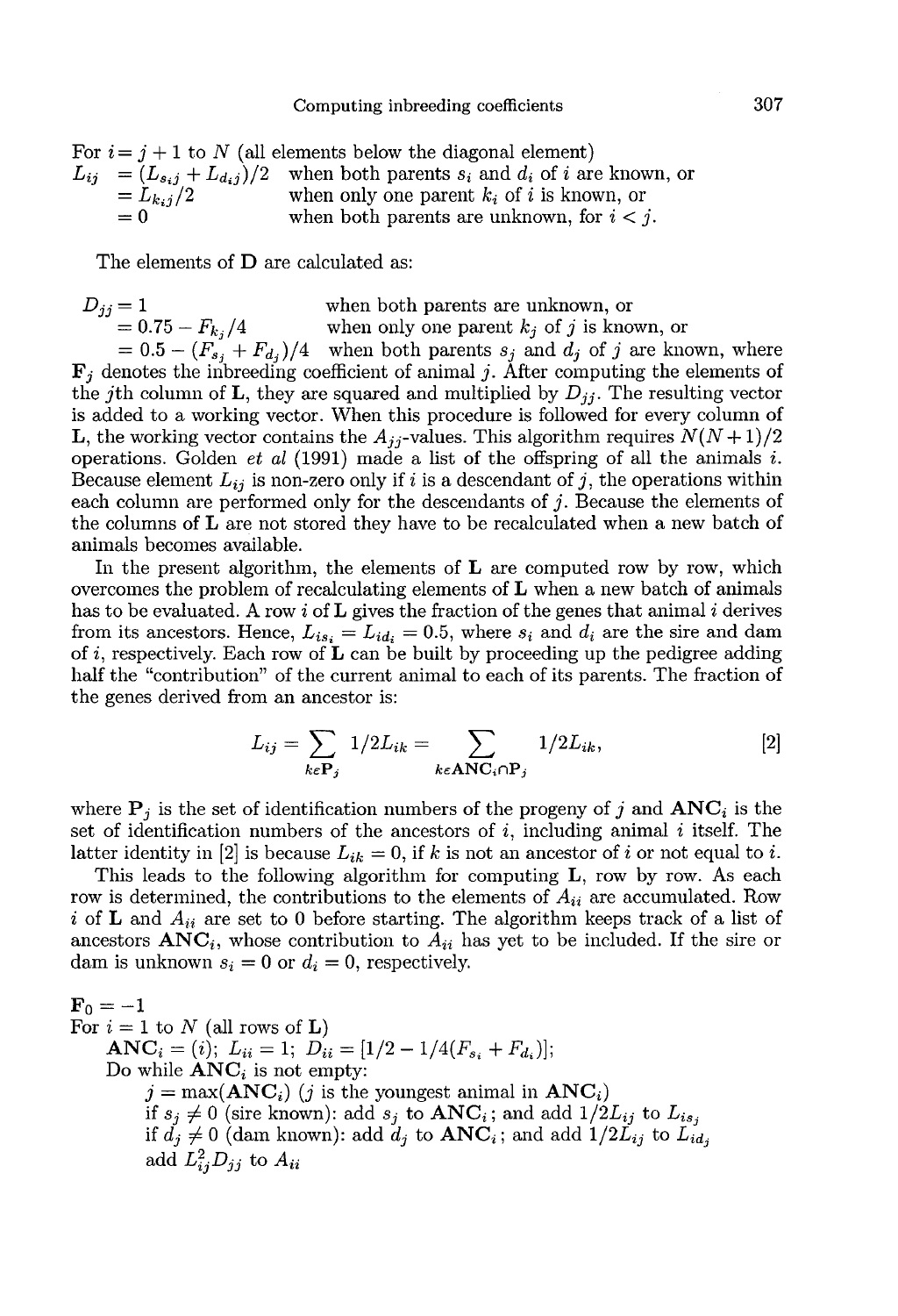|                       | Computing inpreeding coefficients                                                                                                                                                                                                                       |
|-----------------------|---------------------------------------------------------------------------------------------------------------------------------------------------------------------------------------------------------------------------------------------------------|
| $=L_{k,j}/2$<br>$= 0$ | For $i = j + 1$ to N (all elements below the diagonal element)<br>$L_{ij} = (L_{s,i} + L_{d,i})/2$ when both parents $s_i$ and $d_i$ of i are known, or<br>when only one parent $k_i$ of i is known, or<br>when both parents are unknown, for $i < j$ . |
|                       |                                                                                                                                                                                                                                                         |

The elements of **D** are calculated as:

$$
D_{jj} = 1
$$
 when both parents are unknown, or  
= 0.75 -  $F_{k_j}/4$  when only one parent  $k_j$  of j is known, or  
= 0.5 -  $(F_{s_j} + F_{d_j})/4$  when both parents  $s_j$  and  $d_j$  of j are known, where  
**F**<sub>j</sub> denotes the inbreeding coefficient of animal j. After computing the elements of

the jth column of L, they are squared and multiplied by  $D_{ij}$ . The resulting vector is added to a working vector. When this procedure is followed for every column of **L**, the working vector contains the  $A_{jj}$ -values. This algorithm requires  $N(N+1)/2$ = 0.75 –  $F_{kj}/4$  when only one parent  $\kappa_j$  or  $j$  is known, or<br>= 0.5 –  $(F_{s_j} + F_{d_j})/4$  when both parents  $s_j$  and  $d_j$  of  $j$  are known, where<br> $\mathbf{F}_j$  denotes the inbreeding coefficient of animal  $j$ . After computing operations. Golden *et al* (1991) made a list of the offspring of all the animals i. Because element  $L_{ij}$  is non-zero only if i is a descendant of j, the operations within each column are performed only for the descendants of  $j$ . Because the elements of the columns of L are not stored they have to be recalculated when a new batch of animals becomes available.

In the present algorithm, the elements of  $L$  are computed row by row, which overcomes the problem of recalculating elements of  $L$  when a new batch of animals has to be evaluated. A row i of  $L$  gives the fraction of the genes that animal i derives from its ancestors. Hence,  $L_{is_i} = L_{id_i} = 0.5$ , where  $s_i$  and  $d_i$  are the sire and dam of i, respectively. Each row of  $\bf{L}$  can be built by proceeding up the pedigree adding half the "contribution" of the current animal to each of its parents. The fraction of the genes derived from an ancestor is:

$$
L_{ij} = \sum_{k \in \mathbf{P}_j} 1/2L_{ik} = \sum_{k \in \mathbf{ANC}_i \cap \mathbf{P}_j} 1/2L_{ik},
$$
 [2]

where  $P_i$  is the set of identification numbers of the progeny of j and  $\text{ANC}_i$  is the set of identification numbers of the ancestors of  $i$ , including animal  $i$  itself. The latter identity in [2] is because  $L_{ik} = 0$ , if k is not an ancestor of i or not equal to i.

This leads to the following algorithm for computing L, row by row. As each row is determined, the contributions to the elements of  $A_{ii}$  are accumulated. Row i of L and  $A_{ii}$  are set to 0 before starting. The algorithm keeps track of a list of ancestors  $\text{ANC}_i$ , whose contribution to  $A_{ii}$  has yet to be included. If the sire or dam is unknown  $s_i = 0$  or  $d_i = 0$ , respectively.

$$
\begin{aligned}\n\mathbf{F}_0 &= -1 \\
\text{For } i = 1 \text{ to } N \text{ (all rows of L)} \\
\mathbf{ANC}_i &= (i); \ L_{ii} = 1; \ D_{ii} = [1/2 - 1/4(F_{s_i} + F_{d_i})]; \\
\text{Do while } \mathbf{ANC}_i \text{ is not empty:} \\
j &= \max(\mathbf{ANC}_i) \ (j \text{ is the youngest animal in } \mathbf{ANC}_i) \\
\text{if } s_j \neq 0 \text{ (sire known): add } s_j \text{ to } \mathbf{ANC}_i; \text{ and add } 1/2L_{ij} \text{ to } L_{is_j} \\
\text{if } d_j \neq 0 \text{ (dam known): add } d_j \text{ to } \mathbf{ANC}_i; \text{ and add } 1/2L_{ij} \text{ to } L_{id_j} \\
\text{add } L_{ij}^2 D_{jj} \text{ to } A_{ii}\n\end{aligned}
$$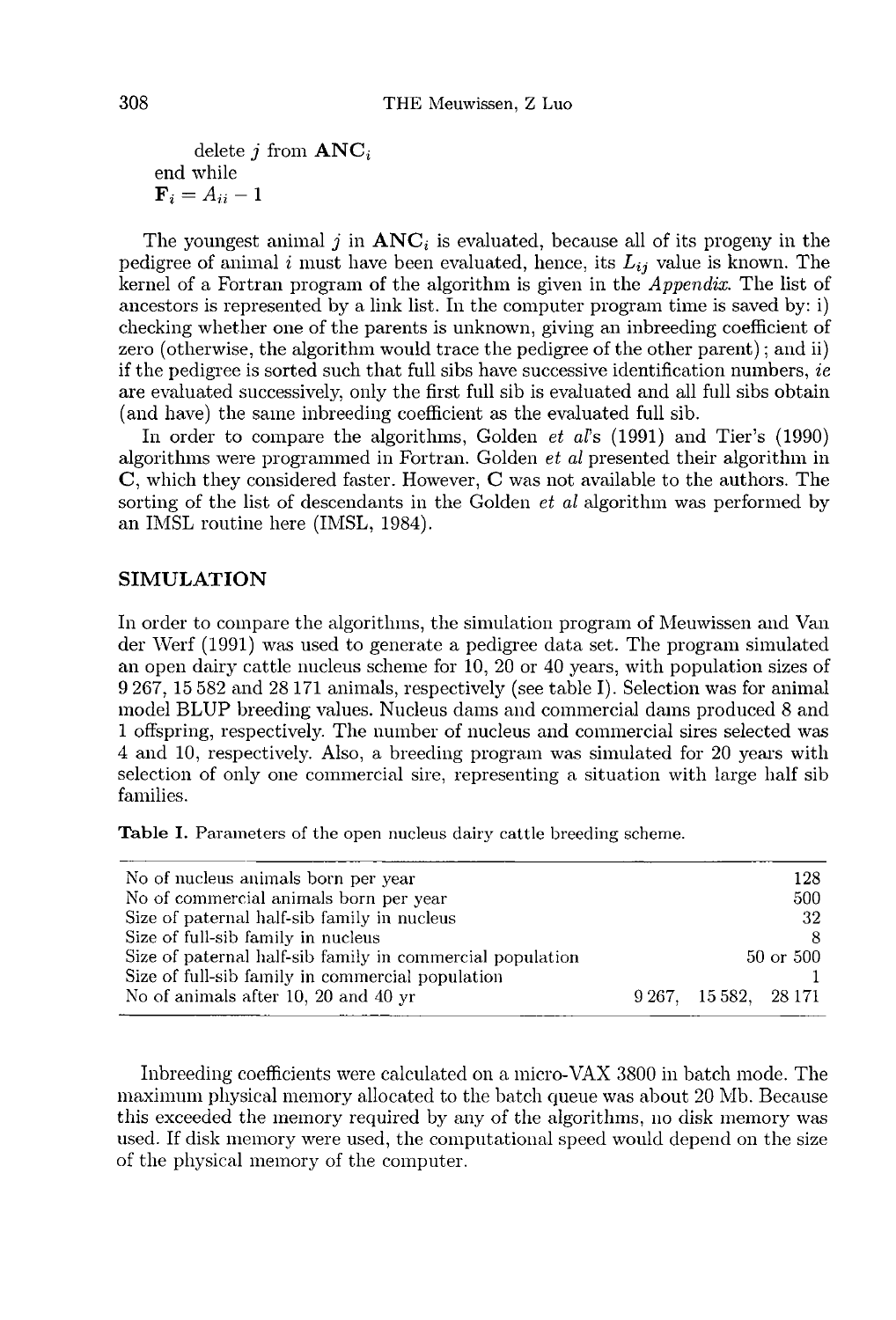delete *j* from  $\text{ANC}_i$ end while

 $\mathbf{F}_i = A_{ii} - 1$ <br>The youngest animal j in  $\mathbf{ANC}_i$  is evaluated, because all of its progeny in the pedigree of animal i must have been evaluated, hence, its  $L_{ij}$  value is known. The kernel of a Fortran program of the algorithm is given in the Appendix. The list of ancestors is represented by a link list. In the computer program time is saved by: i) checking whether one of the parents is unknown, giving an inbreeding coefficient of zero (otherwise, the algorithm would trace the pedigree of the other parent) ; and ii) if the pedigree is sorted such that full sibs have successive identification numbers,  $ie$ are evaluated successively, only the first full sib is evaluated and all full sibs obtain (and have) the same inbreeding coefficient as the evaluated full sib.

In order to compare the algorithms, Golden *et al*'s (1991) and Tier's (1990) algorithms were programmed in Fortran. Golden et al presented their algorithm in C, which they considered faster. However, C was not available to the authors. The sorting of the list of descendants in the Golden  $et$  al algorithm was performed by an IMSL routine here (IMSL, 1984).

#### SIMULATION

In order to compare the algorithms, the simulation program of Meuwissen and Van der Werf (1991) was used to generate a pedigree data set. The program simulated an open dairy cattle nucleus scheme for 10, 20 or 40 years, with population sizes of 9 267, 15 582 and 28171 animals, respectively (see table I). Selection was for animal model BLUP breeding values. Nucleus dams and commercial dams produced 8 and 1 offspring, respectively. The number of nucleus and commercial sires selected was 4 and 10, respectively. Also, a breeding program was simulated for 20 years with selection of only one commercial sire, representing a situation with large half sib families.

Table I. Parameters of the open nucleus dairy cattle breeding scheme.

| No of nucleus animals born per year                       |  | 128                   |           |  |
|-----------------------------------------------------------|--|-----------------------|-----------|--|
| No of commercial animals born per year                    |  |                       | 500       |  |
| Size of paternal half-sib family in nucleus               |  |                       | -32       |  |
| Size of full-sib family in nucleus                        |  |                       |           |  |
| Size of paternal half-sib family in commercial population |  |                       | 50 or 500 |  |
| Size of full-sib family in commercial population          |  |                       |           |  |
| No of animals after 10, 20 and 40 yr                      |  | 9 267, 15 582, 28 171 |           |  |

Inbreeding coefficients were calculated on a micro-VAX 3800 in batch mode. The maximum physicsl memory allocated to the batch queue was about 20 Mb. Because this exceeded the memory required by any of the algorithms, no disk memory was used. If disk memory were used, the computational speed would depend on the size of the physical memory of the computer.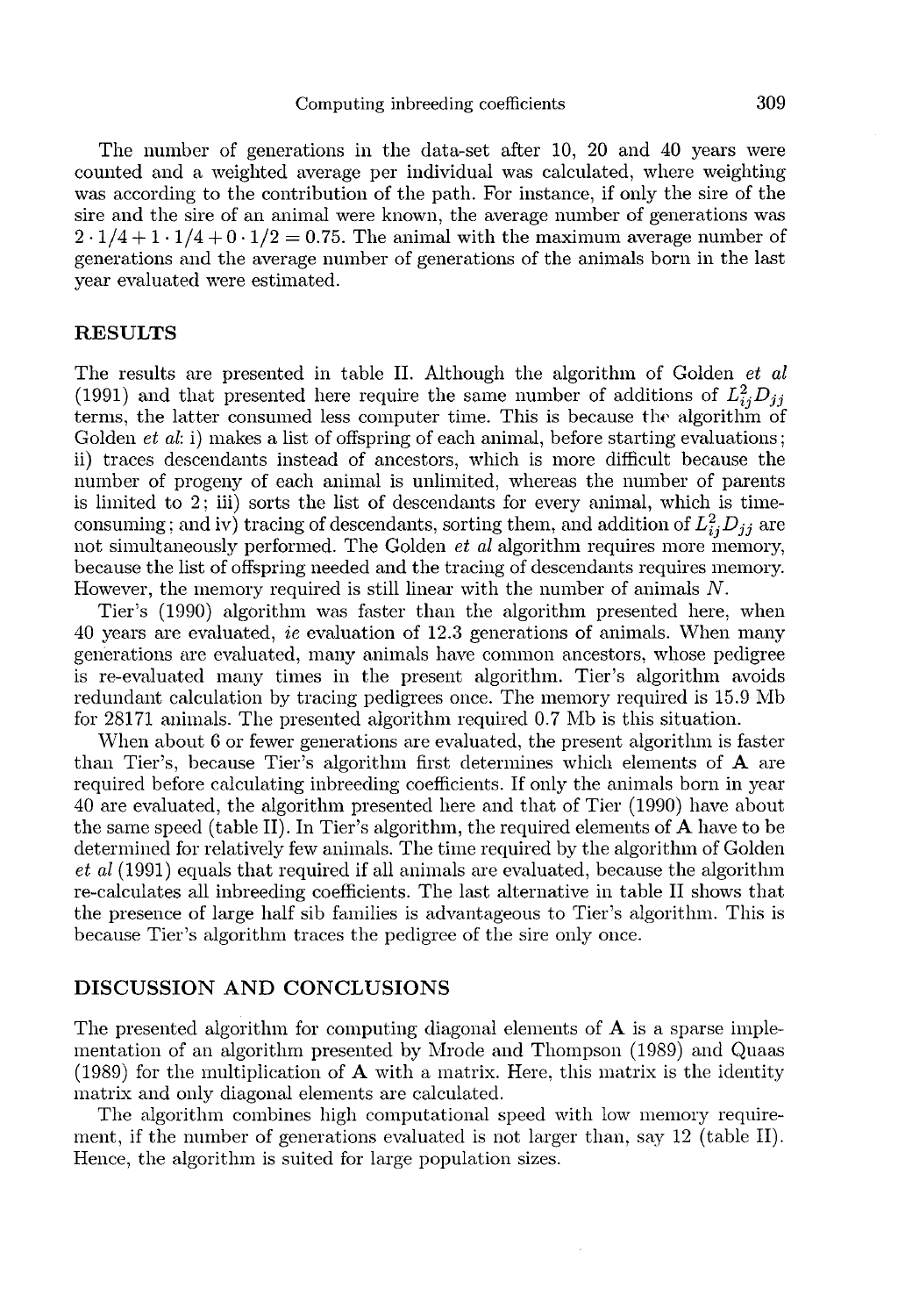The number of generations in the data-set after 10, 20 and 40 years were counted and a weighted average per individual was calculated, where weighting was according to the contribution of the path. For instance, if only the sire of the sire and the sire of an animal were known, the average number of generations was  $2 \cdot 1/4 + 1 \cdot 1/4 + 0 \cdot 1/2 = 0.75$ . The animal with the maximum average number of generations and the average number of generations of the animals born in the last year evaluated were estimated.

#### RESULTS

The results are presented in table II. Although the algorithm of Golden et al (1991) and that presented here require the same number of additions of  $L_{ii}^2 D_{jj}$ terms, the latter consumed less computer time. This is because the algorithm of Golden *et al*: i) makes a list of offspring of each animal, before starting evaluations; ii) traces descendants instead of ancestors, which is more difficult because the number of progeny of each animal is unlimited, whereas the number of parents is limited to 2; iii) sorts the list of descendants for every animal, which is timeis limited to 2; iii) sorts the list of descendants for every animal, which is time-<br>consuming; and iv) tracing of descendants, sorting them, and addition of  $L_{ij}^2 D_{jj}$  are<br>not simultaneously performed. The Golden *et a* because the list of offspring needed and the tracing of descendants requires memory. However, the memory required is still linear with the number of animals N.

Tier's (1990) algorithm was faster than the algorithm presented here, when 40 years are evaluated, ie evaluation of 12.3 generations of animals. When many generations are evaluated, many animals have common ancestors, whose pedigree is re-evaluated many times in the present algorithm. Tier's algorithm avoids redundant calculation by tracing pedigrees once. The memory required is 15.9 Mb for 28171 animals. The presented algorithm required 0.7 NIb is this situation.

When about 6 or fewer generations are evaluated, the present algorithm is faster than Tier's, because Tier's algorithm first determines which elements of A are required before calculating inbreeding coefficients. If only the animals born in year 40 are evaluated, the algorithm presented here and that of Tier (1990) have about the same speed (table II). In Tier's algorithm, the required elements of  $A$  have to be determined for relatively few animals. The time required by the algorithm of Golden et al (1991) equals that required if all animals are evaluated, because the algorithm re-calculates all inbreeding coefficients. The last alternative in table II shows that the presence of large half sib families is advantageous to Tier's algorithm. This is because Tier's algorithm traces the pedigree of the sire only once.

#### DISCUSSION AND CONCLUSIONS

The presented algorithm for computing diagonal elements of  $A$  is a sparse implementation of an algorithm presented by Mrode and Thompson (1989) and Quaas  $(1989)$  for the multiplication of **A** with a matrix. Here, this matrix is the identity matrix and only diagonal elements are calculated.

The algorithm combines high computational speed with low memory requirement, if the number of generations evaluated is not larger than, say 12 (table II). Hence, the algorithm is suited for large population sizes.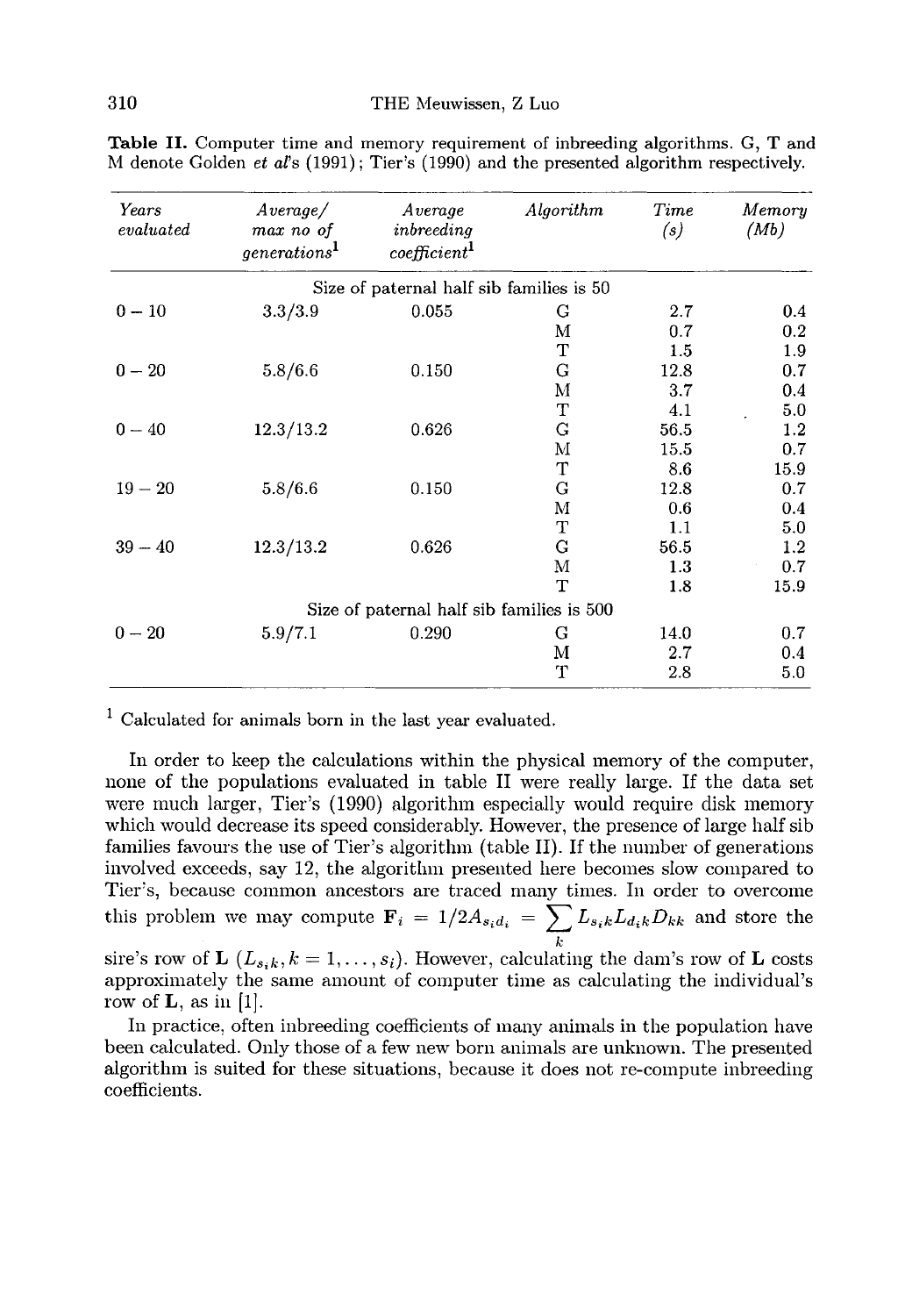| Years<br>evaluated | Average /<br>max no of<br>generalions <sup>1</sup> | Average<br>inbreeding<br>coefficient <sup>1</sup> | Algorithm | Time<br>(s) | Memory<br>(Mb) |
|--------------------|----------------------------------------------------|---------------------------------------------------|-----------|-------------|----------------|
|                    |                                                    | Size of paternal half sib families is 50          |           |             |                |
| $0 - 10$           | 3.3/3.9                                            | 0.055                                             | G         | 2.7         | $0.4\,$        |
|                    |                                                    |                                                   | М         | 0.7         | 0.2            |
|                    |                                                    |                                                   | T         | 1.5         | 1.9            |
| $0 - 20$           | 5.8/6.6                                            | 0.150                                             | G         | 12.8        | 0.7            |
|                    |                                                    |                                                   | М         | 3.7         | $0.4\,$        |
|                    |                                                    |                                                   | т         | 4.1         | 5.0            |
| $0 - 40$           | 12.3/13.2                                          | 0.626                                             | G         | 56.5        | 1.2            |
|                    |                                                    |                                                   | м         | 15.5        | 0.7            |
|                    |                                                    |                                                   | T         | 8.6         | 15.9           |
| $19 - 20$          | 5.8/6.6                                            | 0.150                                             | G         | 12.8        | 0.7            |
|                    |                                                    |                                                   | М         | 0.6         | 0.4            |
|                    |                                                    |                                                   | Ŧ         | 1.1         | 5.0            |
| $39 - 40$          | 12.3/13.2                                          | 0.626                                             | G         | 56.5        | 1.2            |
|                    |                                                    |                                                   | Μ         | 1.3         | 0.7            |
|                    |                                                    |                                                   | T         | 1.8         | 15.9           |
|                    |                                                    | Size of paternal half sib families is 500         |           |             |                |
| $0 - 20$           | 5.9/7.1                                            | 0.290                                             | G         | 14.0        | 0.7            |
|                    |                                                    |                                                   | M         | 2.7         | $0.4\,$        |
|                    |                                                    |                                                   | т         | 2.8         | 5.0            |

Table II. Computer time and memory requirement of inbreeding algorithms. G, T and M denote Golden et al's (1991); Tier's (1990) and the presented algorithm respectively.

 $1$  Calculated for animals born in the last vear evaluated.

In order to keep the calculations within the physical memory of the computer, none of the populations evaluated in table II were really large. If the data set were much larger, Tier's (1990) algorithm especially would require disk memory which would decrease its speed considerably. However, the presence of large half sib families favours the use of Tier's algorithm (table II). If the number of generations involved exceeds, say 12, the algorithm presented here becomes slow compared to Tier''s, because common ancestors are traced many times. In order to overcome this problem we may compute  $\mathbf{F}_i = 1/2A_{s_i d_i} = \sum_k L_{s_i k} L_{d_i k} D_{k k}$  and store the sire's row of **L**  $(L_{s_i k}, k = 1, ..., s_i)$ . However, calculating the dam's row of **L** costs approximately the same amount of computer time as c k

approximately the same amount of computer time as calculating the individual's row of  $\mathbf{L}$ , as in [1].

In practice, often inbreeding coefficients of many animals in the population have been calculated. Only those of a few new born animals are unknown. The presented algorithm is suited for these situations, because it does not re-compute inbreeding coefficients.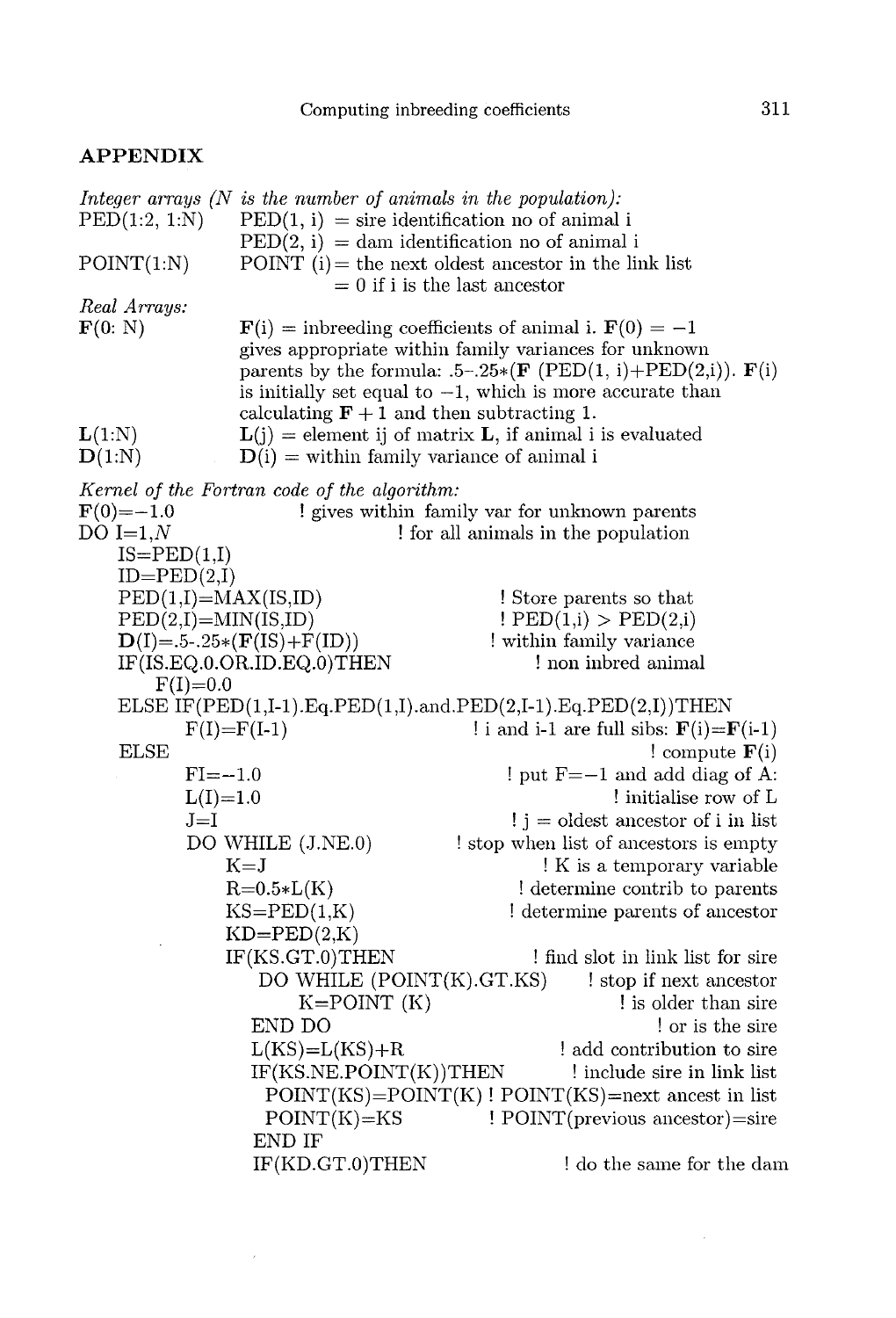## APPENDIX

| $\mathrm{PED}(1:2,\,1:N)$                                 | Integer arrays $(N$ is the number of animals in the population):<br>$\text{PED}(1, i) = \text{sire identification no of animal } i$ |                                                                                                                                                                                                                                                                                                                 |
|-----------------------------------------------------------|-------------------------------------------------------------------------------------------------------------------------------------|-----------------------------------------------------------------------------------------------------------------------------------------------------------------------------------------------------------------------------------------------------------------------------------------------------------------|
|                                                           | $\text{PED}(2, i) = \text{dam identification no of animal } i$                                                                      |                                                                                                                                                                                                                                                                                                                 |
| POINT(1:N)                                                |                                                                                                                                     | POINT $(i)$ = the next oldest ancestor in the link list<br>$= 0$ if i is the last ancestor                                                                                                                                                                                                                      |
| Real Arrays:                                              |                                                                                                                                     |                                                                                                                                                                                                                                                                                                                 |
| $\mathbf{F}(0: \mathbf{N})$                               | calculating $F + 1$ and then subtracting 1.                                                                                         | $\mathbf{F}(\mathbf{i}) =$ inbreeding coefficients of animal i. $\mathbf{F}(0) = -1$<br>gives appropriate within family variances for unknown<br>parents by the formula: $.5-.25*(\mathbf{F}(\text{PED}(1, i)+\text{PED}(2, i)). \mathbf{F}(i)$<br>is initially set equal to $-1$ , which is more accurate than |
| L(1:N)                                                    |                                                                                                                                     | $L(j)$ = element ij of matrix L, if animal i is evaluated                                                                                                                                                                                                                                                       |
| D(1:N)                                                    | $D(i)$ = within family variance of animal i                                                                                         |                                                                                                                                                                                                                                                                                                                 |
|                                                           | Kernel of the Fortran code of the algorithm:                                                                                        |                                                                                                                                                                                                                                                                                                                 |
| $F(0) = -1.0$                                             |                                                                                                                                     | ! gives within family var for unknown parents                                                                                                                                                                                                                                                                   |
| DO $I=1,N$                                                |                                                                                                                                     | for all animals in the population                                                                                                                                                                                                                                                                               |
| $IS = PED(1,I)$                                           |                                                                                                                                     |                                                                                                                                                                                                                                                                                                                 |
| $ID = PED(2,I)$<br>$\text{PED}(1,I) = \text{MAX}(IS, ID)$ |                                                                                                                                     | ! Store parents so that                                                                                                                                                                                                                                                                                         |
| $\text{PED}(2,I) = \text{MIN}(IS,ID)$                     |                                                                                                                                     | PED(1,i) > PED(2,i)                                                                                                                                                                                                                                                                                             |
|                                                           | $D(I) = .5-.25*(F(IS) + F(ID))$                                                                                                     | within family variance                                                                                                                                                                                                                                                                                          |
|                                                           | IF(IS.EQ.0.OR.ID.EQ.0)THEN                                                                                                          | non independent in the land                                                                                                                                                                                                                                                                                     |
| $F(I)=0.0$                                                |                                                                                                                                     |                                                                                                                                                                                                                                                                                                                 |
|                                                           |                                                                                                                                     | ELSE IF(PED(1,I-1).Eq.PED(1,I).and.PED(2,I-1).Eq.PED(2,I))THEN                                                                                                                                                                                                                                                  |
|                                                           | $F(I)=F(I-1)$                                                                                                                       | ! i and i-1 are full sibs: $\mathbf{F}$ (i)= $\mathbf{F}$ (i-1)                                                                                                                                                                                                                                                 |
| <b>ELSE</b>                                               |                                                                                                                                     | ! compute $F(i)$                                                                                                                                                                                                                                                                                                |
| $FI = -1.0$                                               |                                                                                                                                     | $!$ put $F = -1$ and add diag of A:                                                                                                                                                                                                                                                                             |
| $L(I)=1.0$                                                |                                                                                                                                     | ! initialise row of L                                                                                                                                                                                                                                                                                           |
| $J=I$                                                     |                                                                                                                                     | $\mathbf{i}$ j = oldest ancestor of i in list                                                                                                                                                                                                                                                                   |
|                                                           | DO WHILE (J.NE.0)                                                                                                                   | ! stop when list of ancestors is empty                                                                                                                                                                                                                                                                          |
|                                                           | $K = J$                                                                                                                             | ! K is a temporary variable                                                                                                                                                                                                                                                                                     |
|                                                           | $R = 0.5 * L(K)$<br>$KS = PED(1,K)$                                                                                                 | ! determine contrib to parents<br>! determine parents of ancestor                                                                                                                                                                                                                                               |
|                                                           | $KD=PED(2,K)$                                                                                                                       |                                                                                                                                                                                                                                                                                                                 |
|                                                           | IF(KS.GT.0) THEN                                                                                                                    | ! find slot in link list for sire                                                                                                                                                                                                                                                                               |
|                                                           | DO WHILE (POINT(K).GT.KS)                                                                                                           | ! stop if next ancestor                                                                                                                                                                                                                                                                                         |
|                                                           | $K = POINT (K)$                                                                                                                     | is older than sire                                                                                                                                                                                                                                                                                              |
|                                                           | END DO                                                                                                                              | or is the sire                                                                                                                                                                                                                                                                                                  |
|                                                           | $L(KS)=L(KS)+R$                                                                                                                     | add contribution to sire                                                                                                                                                                                                                                                                                        |
|                                                           | IF(KS.NE.POINT(K))THEN                                                                                                              | ! include sire in link list                                                                                                                                                                                                                                                                                     |
|                                                           |                                                                                                                                     | $POINT(KS)=POINT(K)$ ! $POINT(KS)=next$ ancest in list                                                                                                                                                                                                                                                          |
|                                                           | $POINT(K)=KS$                                                                                                                       | ! POINT(previous ancestor)=sire                                                                                                                                                                                                                                                                                 |
|                                                           | END IF                                                                                                                              |                                                                                                                                                                                                                                                                                                                 |
|                                                           | IF(KD.GT.0)THEN                                                                                                                     | ! do the same for the dam                                                                                                                                                                                                                                                                                       |

 $\sim 10^{-1}$ 

 $\mathcal{L}^{(1)}$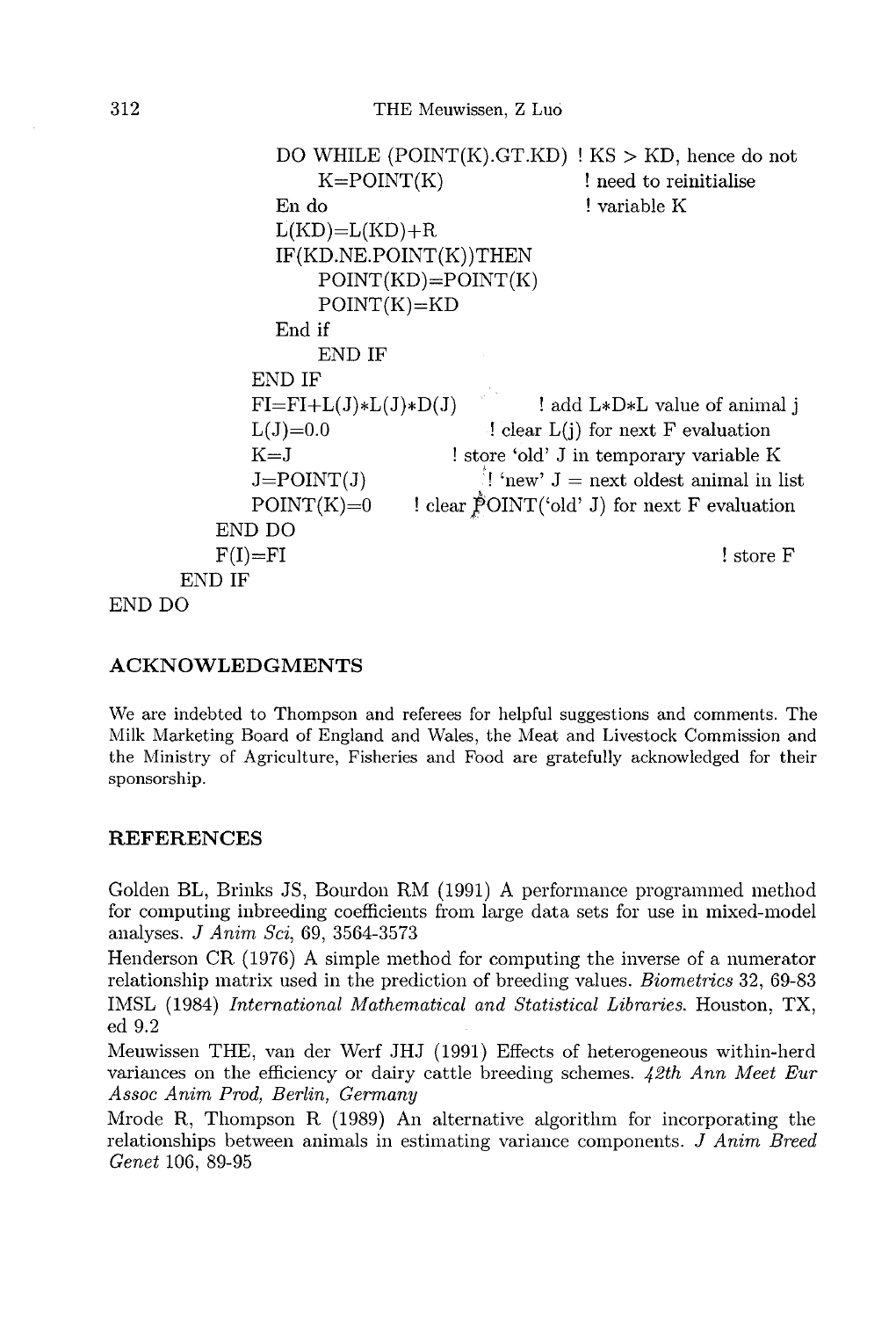```
DO WHILE (POINT(K).GT.KD) ! KS > KD, hence do not
                      K = POINT(K)! need to reinitialise
                  En do
                                                   ! variable K
                  L(KD)=L(KD)+RIF(KD.NE.POINT(K))THEN
                      POINT(KD)=POINT(K)POINT(K)=KDEnd if
                      END IF
               END IF
               FI = FI + L(J) * L(J) * D(J)! add L*D*L value of animal i
               L(J)=0.0! clear L(i) for next F evaluation
                                     ! store 'old' J in temporary variable K
               K = J\mathbb{I} 'new' J = next oldest animal in list
               J = POINT(J)! clear \check{P}OINT('old' J) for next F evaluation
               POINT(K)=0END DO
           F(I)=FI! store F
       END IF
END DO
```
## ACKNOWLEDGMENTS

We are indebted to Thompson and referees for helpful suggestions and comments. The Milk Marketing Board of England and Wales, the Meat and Livestock Commission and the Ministry of Agriculture, Fisheries and Food are gratefully acknowledged for their sponsorship.

## REFERENCES

Golden BL, Brinks JS, Bourdon RM (1991) A performance programmed method for computing inbreeding coefficients from large data sets for use in mixed-model analyses. J Anim Sci, 69, 3564-3573

Henderson CR (197G) A simple method for computing the inverse of a numerator relationship matrix used in the prediction of breeding values. Biometrics 32, 69-83 IMSL (1984) International Mathematical and Statistical Libraries. Houston, TX, ed 9.2

Meuwissen THE, van der Werf JHJ (1991) Effects of heterogeneous within-herd variances on the efficiency or dairy cattle breeding schemes. 42th Ann Meet Eur Assoc Anim Prod, Berlin, Germany

Mrode R, Thompson R (1989) An alternative algorithm for incorporating the relationships between animals in estimating variance components. J Anim Breed Genet 106, 89-95